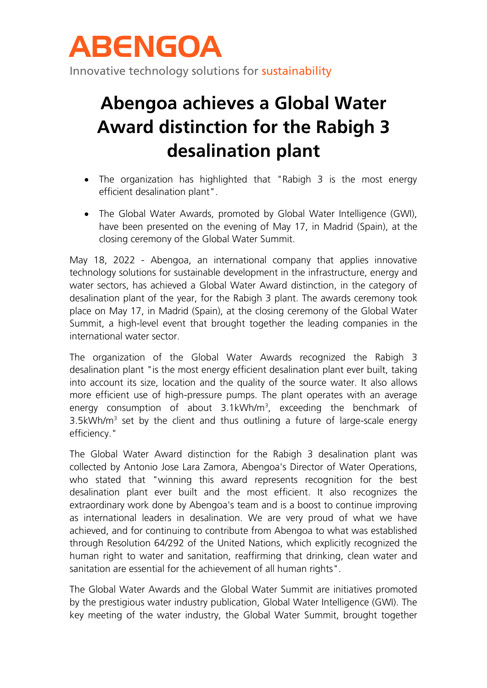

# **Abengoa achieves a Global Water Award distinction for the Rabigh 3 desalination plant**

- The organization has highlighted that "Rabigh 3 is the most energy efficient desalination plant".
- The Global Water Awards, promoted by Global Water Intelligence (GWI), have been presented on the evening of May 17, in Madrid (Spain), at the closing ceremony of the Global Water Summit.

May 18, 2022 - Abengoa, an international company that applies innovative technology solutions for sustainable development in the infrastructure, energy and water sectors, has achieved a Global Water Award distinction, in the category of desalination plant of the year, for the Rabigh 3 plant. The awards ceremony took place on May 17, in Madrid (Spain), at the closing ceremony of the Global Water Summit, a high-level event that brought together the leading companies in the international water sector.

The organization of the Global Water Awards recognized the Rabigh 3 desalination plant "is the most energy efficient desalination plant ever built, taking into account its size, location and the quality of the source water. It also allows more efficient use of high-pressure pumps. The plant operates with an average energy consumption of about  $3.1$ kWh/m<sup>3</sup>, exceeding the benchmark of 3.5kWh/ $m<sup>3</sup>$  set by the client and thus outlining a future of large-scale energy efficiency."

The Global Water Award distinction for the Rabigh 3 desalination plant was collected by Antonio Jose Lara Zamora, Abengoa's Director of Water Operations, who stated that "winning this award represents recognition for the best desalination plant ever built and the most efficient. It also recognizes the extraordinary work done by Abengoa's team and is a boost to continue improving as international leaders in desalination. We are very proud of what we have achieved, and for continuing to contribute from Abengoa to what was established through Resolution 64/292 of the United Nations, which explicitly recognized the human right to water and sanitation, reaffirming that drinking, clean water and sanitation are essential for the achievement of all human rights".

The Global Water Awards and the Global Water Summit are initiatives promoted by the prestigious water industry publication, Global Water Intelligence (GWI). The key meeting of the water industry, the Global Water Summit, brought together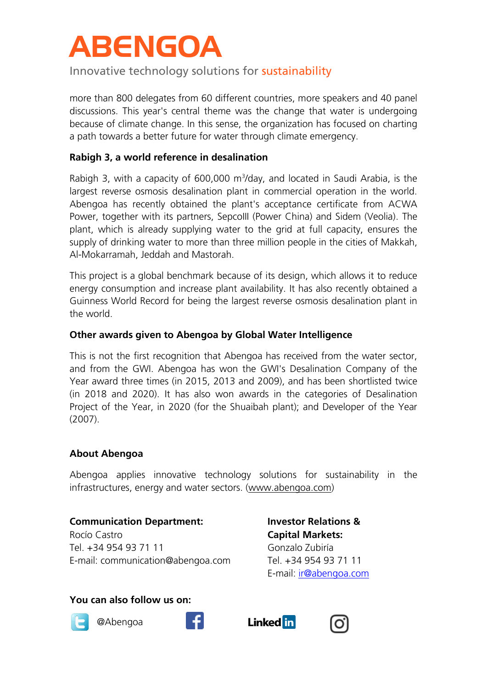# **ABENGOA**

Innovative technology solutions for sustainability

more than 800 delegates from 60 different countries, more speakers and 40 panel discussions. This year's central theme was the change that water is undergoing because of climate change. In this sense, the organization has focused on charting a path towards a better future for water through climate emergency.

## **Rabigh 3, a world reference in desalination**

Rabigh 3, with a capacity of  $600,000$  m<sup>3</sup>/day, and located in Saudi Arabia, is the largest reverse osmosis desalination plant in commercial operation in the world. Abengoa has recently obtained the plant's acceptance certificate from ACWA Power, together with its partners, SepcoIII (Power China) and Sidem (Veolia). The plant, which is already supplying water to the grid at full capacity, ensures the supply of drinking water to more than three million people in the cities of Makkah, Al-Mokarramah, Jeddah and Mastorah.

This project is a global benchmark because of its design, which allows it to reduce energy consumption and increase plant availability. It has also recently obtained a Guinness World Record for being the largest reverse osmosis desalination plant in the world.

## **Other awards given to Abengoa by Global Water Intelligence**

This is not the first recognition that Abengoa has received from the water sector, and from the GWI. Abengoa has won the GWI's Desalination Company of the Year award three times (in 2015, 2013 and 2009), and has been shortlisted twice (in 2018 and 2020). It has also won awards in the categories of Desalination Project of the Year, in 2020 (for the Shuaibah plant); and Developer of the Year (2007).

#### **About Abengoa**

Abengoa applies innovative technology solutions for sustainability in the infrastructures, energy and water sectors. [\(www.abengoa.com\)](http://www.abengoa.com/)

## **Communication Department:**

Rocío Castro Tel. +34 954 93 71 11 E-mail: communication@abengoa.com **Investor Relations & Capital Markets:** Gonzalo Zubiría Tel. +34 954 93 71 11 E-mail: [ir@abengoa.com](mailto:ir@abengoa.com)

#### **You can also follow us on:**



@Abengoa